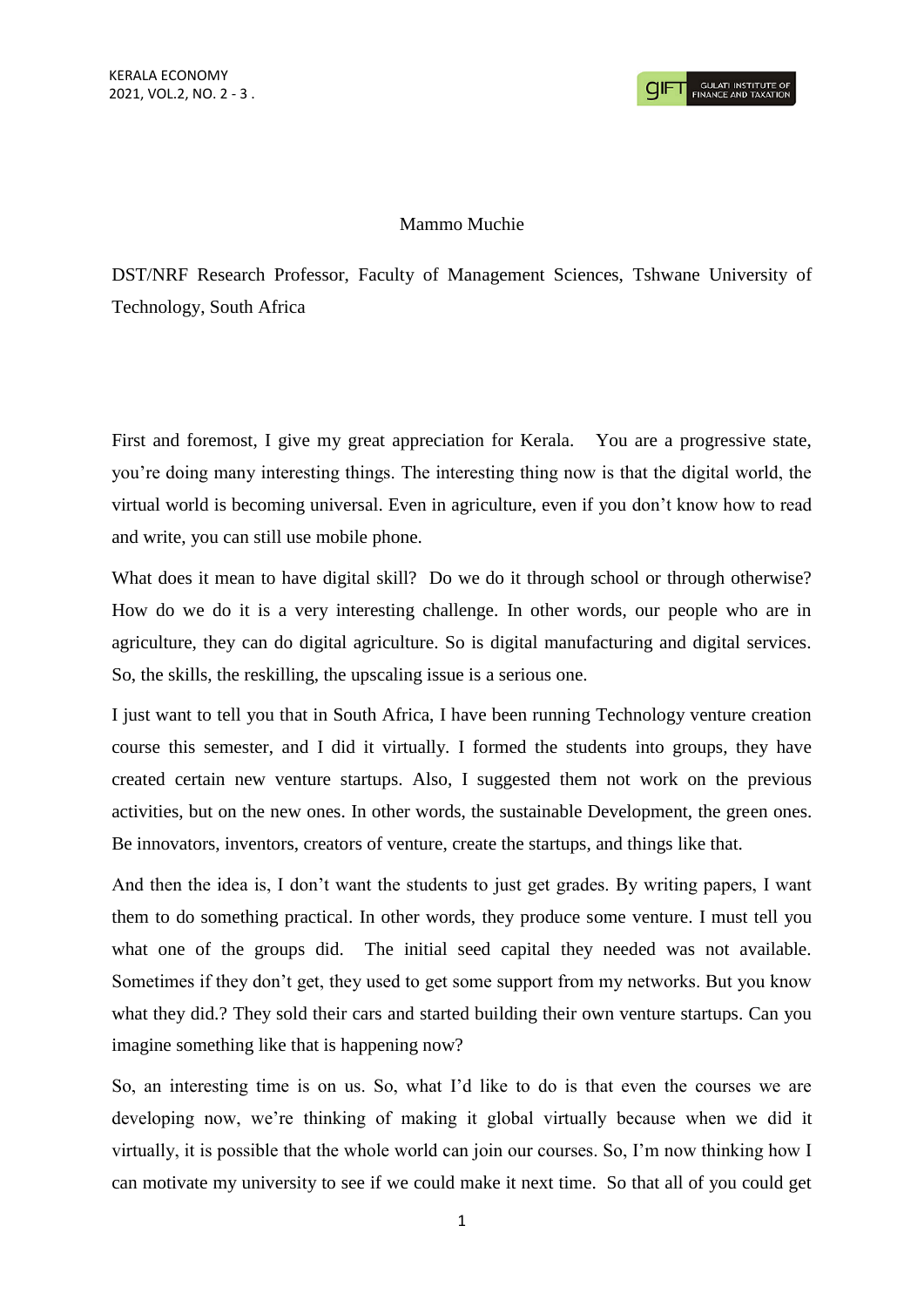## Mammo Muchie

DST/NRF Research Professor, Faculty of Management Sciences, Tshwane University of Technology, South Africa

First and foremost, I give my great appreciation for Kerala. You are a progressive state, you're doing many interesting things. The interesting thing now is that the digital world, the virtual world is becoming universal. Even in agriculture, even if you don't know how to read and write, you can still use mobile phone.

What does it mean to have digital skill? Do we do it through school or through otherwise? How do we do it is a very interesting challenge. In other words, our people who are in agriculture, they can do digital agriculture. So is digital manufacturing and digital services. So, the skills, the reskilling, the upscaling issue is a serious one.

I just want to tell you that in South Africa, I have been running Technology venture creation course this semester, and I did it virtually. I formed the students into groups, they have created certain new venture startups. Also, I suggested them not work on the previous activities, but on the new ones. In other words, the sustainable Development, the green ones. Be innovators, inventors, creators of venture, create the startups, and things like that.

And then the idea is, I don't want the students to just get grades. By writing papers, I want them to do something practical. In other words, they produce some venture. I must tell you what one of the groups did. The initial seed capital they needed was not available. Sometimes if they don't get, they used to get some support from my networks. But you know what they did.? They sold their cars and started building their own venture startups. Can you imagine something like that is happening now?

So, an interesting time is on us. So, what I'd like to do is that even the courses we are developing now, we're thinking of making it global virtually because when we did it virtually, it is possible that the whole world can join our courses. So, I'm now thinking how I can motivate my university to see if we could make it next time. So that all of you could get